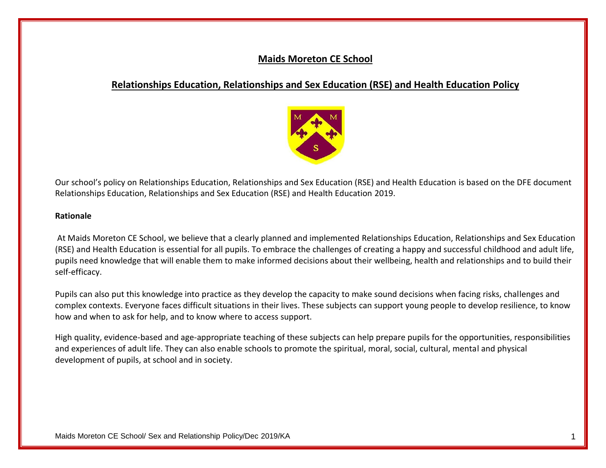# **Maids Moreton CE School**

# **Relationships Education, Relationships and Sex Education (RSE) and Health Education Policy**



Our school's policy on Relationships Education, Relationships and Sex Education (RSE) and Health Education is based on the DFE document Relationships Education, Relationships and Sex Education (RSE) and Health Education 2019.

#### **Rationale**

At Maids Moreton CE School, we believe that a clearly planned and implemented Relationships Education, Relationships and Sex Education (RSE) and Health Education is essential for all pupils. To embrace the challenges of creating a happy and successful childhood and adult life, pupils need knowledge that will enable them to make informed decisions about their wellbeing, health and relationships and to build their self-efficacy.

Pupils can also put this knowledge into practice as they develop the capacity to make sound decisions when facing risks, challenges and complex contexts. Everyone faces difficult situations in their lives. These subjects can support young people to develop resilience, to know how and when to ask for help, and to know where to access support.

High quality, evidence-based and age-appropriate teaching of these subjects can help prepare pupils for the opportunities, responsibilities and experiences of adult life. They can also enable schools to promote the spiritual, moral, social, cultural, mental and physical development of pupils, at school and in society.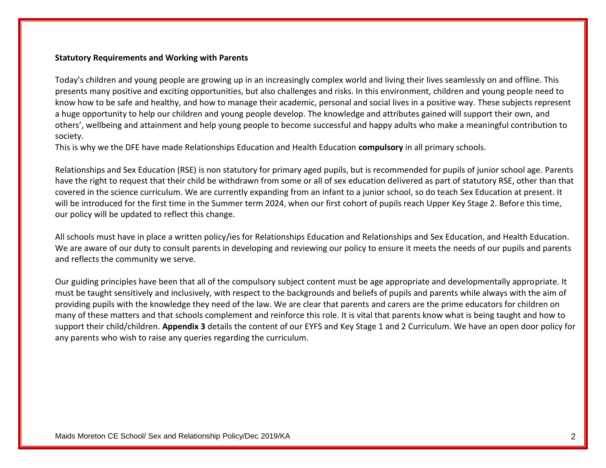### **Statutory Requirements and Working with Parents**

Today's children and young people are growing up in an increasingly complex world and living their lives seamlessly on and offline. This presents many positive and exciting opportunities, but also challenges and risks. In this environment, children and young people need to know how to be safe and healthy, and how to manage their academic, personal and social lives in a positive way. These subjects represent a huge opportunity to help our children and young people develop. The knowledge and attributes gained will support their own, and others', wellbeing and attainment and help young people to become successful and happy adults who make a meaningful contribution to society.

This is why we the DFE have made Relationships Education and Health Education **compulsory** in all primary schools.

Relationships and Sex Education (RSE) is non statutory for primary aged pupils, but is recommended for pupils of junior school age. Parents have the right to request that their child be withdrawn from some or all of sex education delivered as part of statutory RSE, other than that covered in the science curriculum. We are currently expanding from an infant to a junior school, so do teach Sex Education at present. It will be introduced for the first time in the Summer term 2024, when our first cohort of pupils reach Upper Key Stage 2. Before this time, our policy will be updated to reflect this change.

All schools must have in place a written policy/ies for Relationships Education and Relationships and Sex Education, and Health Education. We are aware of our duty to consult parents in developing and reviewing our policy to ensure it meets the needs of our pupils and parents and reflects the community we serve.

Our guiding principles have been that all of the compulsory subject content must be age appropriate and developmentally appropriate. It must be taught sensitively and inclusively, with respect to the backgrounds and beliefs of pupils and parents while always with the aim of providing pupils with the knowledge they need of the law. We are clear that parents and carers are the prime educators for children on many of these matters and that schools complement and reinforce this role. It is vital that parents know what is being taught and how to support their child/children. **Appendix 3** details the content of our EYFS and Key Stage 1 and 2 Curriculum. We have an open door policy for any parents who wish to raise any queries regarding the curriculum.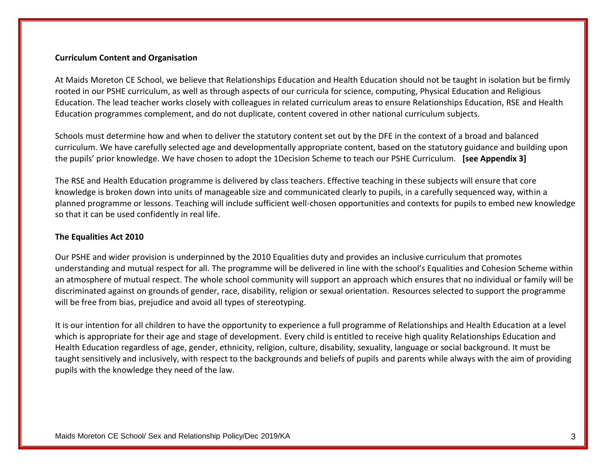#### **Curriculum Content and Organisation**

At Maids Moreton CE School, we believe that Relationships Education and Health Education should not be taught in isolation but be firmly rooted in our PSHE curriculum, as well as through aspects of our curricula for science, computing, Physical Education and Religious Education. The lead teacher works closely with colleagues in related curriculum areas to ensure Relationships Education, RSE and Health Education programmes complement, and do not duplicate, content covered in other national curriculum subjects.

Schools must determine how and when to deliver the statutory content set out by the DFE in the context of a broad and balanced curriculum. We have carefully selected age and developmentally appropriate content, based on the statutory guidance and building upon the pupils' prior knowledge. We have chosen to adopt the 1Decision Scheme to teach our PSHE Curriculum. **[see Appendix 3]**

The RSE and Health Education programme is delivered by class teachers. Effective teaching in these subjects will ensure that core knowledge is broken down into units of manageable size and communicated clearly to pupils, in a carefully sequenced way, within a planned programme or lessons. Teaching will include sufficient well-chosen opportunities and contexts for pupils to embed new knowledge so that it can be used confidently in real life.

### **The Equalities Act 2010**

Our PSHE and wider provision is underpinned by the 2010 Equalities duty and provides an inclusive curriculum that promotes understanding and mutual respect for all. The programme will be delivered in line with the school's Equalities and Cohesion Scheme within an atmosphere of mutual respect. The whole school community will support an approach which ensures that no individual or family will be discriminated against on grounds of gender, race, disability, religion or sexual orientation. Resources selected to support the programme will be free from bias, prejudice and avoid all types of stereotyping.

It is our intention for all children to have the opportunity to experience a full programme of Relationships and Health Education at a level which is appropriate for their age and stage of development. Every child is entitled to receive high quality Relationships Education and Health Education regardless of age, gender, ethnicity, religion, culture, disability, sexuality, language or social background. It must be taught sensitively and inclusively, with respect to the backgrounds and beliefs of pupils and parents while always with the aim of providing pupils with the knowledge they need of the law.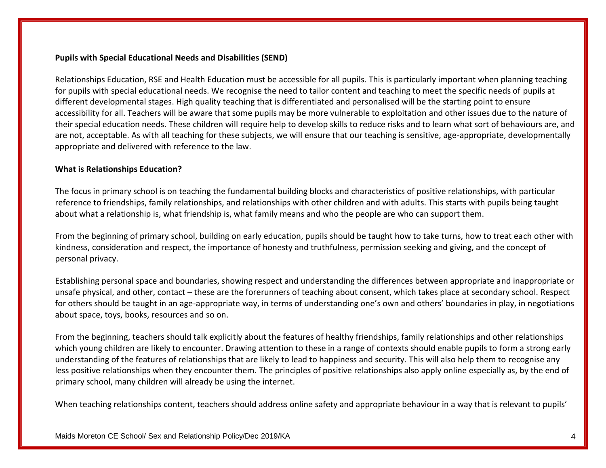### **Pupils with Special Educational Needs and Disabilities (SEND)**

Relationships Education, RSE and Health Education must be accessible for all pupils. This is particularly important when planning teaching for pupils with special educational needs. We recognise the need to tailor content and teaching to meet the specific needs of pupils at different developmental stages. High quality teaching that is differentiated and personalised will be the starting point to ensure accessibility for all. Teachers will be aware that some pupils may be more vulnerable to exploitation and other issues due to the nature of their special education needs. These children will require help to develop skills to reduce risks and to learn what sort of behaviours are, and are not, acceptable. As with all teaching for these subjects, we will ensure that our teaching is sensitive, age-appropriate, developmentally appropriate and delivered with reference to the law.

#### **What is Relationships Education?**

The focus in primary school is on teaching the fundamental building blocks and characteristics of positive relationships, with particular reference to friendships, family relationships, and relationships with other children and with adults. This starts with pupils being taught about what a relationship is, what friendship is, what family means and who the people are who can support them.

From the beginning of primary school, building on early education, pupils should be taught how to take turns, how to treat each other with kindness, consideration and respect, the importance of honesty and truthfulness, permission seeking and giving, and the concept of personal privacy.

Establishing personal space and boundaries, showing respect and understanding the differences between appropriate and inappropriate or unsafe physical, and other, contact – these are the forerunners of teaching about consent, which takes place at secondary school. Respect for others should be taught in an age-appropriate way, in terms of understanding one's own and others' boundaries in play, in negotiations about space, toys, books, resources and so on.

From the beginning, teachers should talk explicitly about the features of healthy friendships, family relationships and other relationships which young children are likely to encounter. Drawing attention to these in a range of contexts should enable pupils to form a strong early understanding of the features of relationships that are likely to lead to happiness and security. This will also help them to recognise any less positive relationships when they encounter them. The principles of positive relationships also apply online especially as, by the end of primary school, many children will already be using the internet.

When teaching relationships content, teachers should address online safety and appropriate behaviour in a way that is relevant to pupils'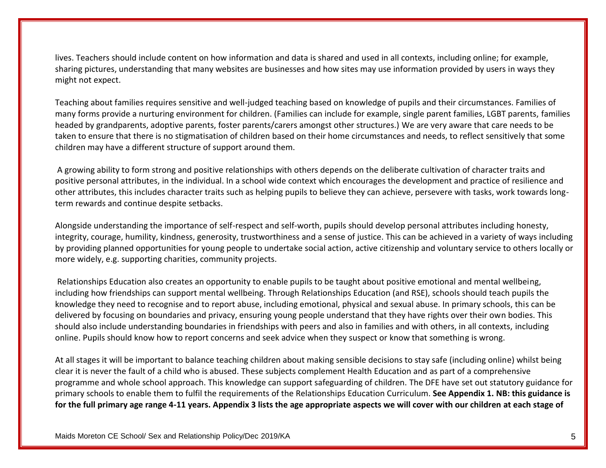lives. Teachers should include content on how information and data is shared and used in all contexts, including online; for example, sharing pictures, understanding that many websites are businesses and how sites may use information provided by users in ways they might not expect.

Teaching about families requires sensitive and well-judged teaching based on knowledge of pupils and their circumstances. Families of many forms provide a nurturing environment for children. (Families can include for example, single parent families, LGBT parents, families headed by grandparents, adoptive parents, foster parents/carers amongst other structures.) We are very aware that care needs to be taken to ensure that there is no stigmatisation of children based on their home circumstances and needs, to reflect sensitively that some children may have a different structure of support around them.

A growing ability to form strong and positive relationships with others depends on the deliberate cultivation of character traits and positive personal attributes, in the individual. In a school wide context which encourages the development and practice of resilience and other attributes, this includes character traits such as helping pupils to believe they can achieve, persevere with tasks, work towards longterm rewards and continue despite setbacks.

Alongside understanding the importance of self-respect and self-worth, pupils should develop personal attributes including honesty, integrity, courage, humility, kindness, generosity, trustworthiness and a sense of justice. This can be achieved in a variety of ways including by providing planned opportunities for young people to undertake social action, active citizenship and voluntary service to others locally or more widely, e.g. supporting charities, community projects.

Relationships Education also creates an opportunity to enable pupils to be taught about positive emotional and mental wellbeing, including how friendships can support mental wellbeing. Through Relationships Education (and RSE), schools should teach pupils the knowledge they need to recognise and to report abuse, including emotional, physical and sexual abuse. In primary schools, this can be delivered by focusing on boundaries and privacy, ensuring young people understand that they have rights over their own bodies. This should also include understanding boundaries in friendships with peers and also in families and with others, in all contexts, including online. Pupils should know how to report concerns and seek advice when they suspect or know that something is wrong.

At all stages it will be important to balance teaching children about making sensible decisions to stay safe (including online) whilst being clear it is never the fault of a child who is abused. These subjects complement Health Education and as part of a comprehensive programme and whole school approach. This knowledge can support safeguarding of children. The DFE have set out statutory guidance for primary schools to enable them to fulfil the requirements of the Relationships Education Curriculum. **See Appendix 1. NB: this guidance is for the full primary age range 4-11 years. Appendix 3 lists the age appropriate aspects we will cover with our children at each stage of** 

Maids Moreton CE School/ Sex and Relationship Policy/Dec 2019/KA 5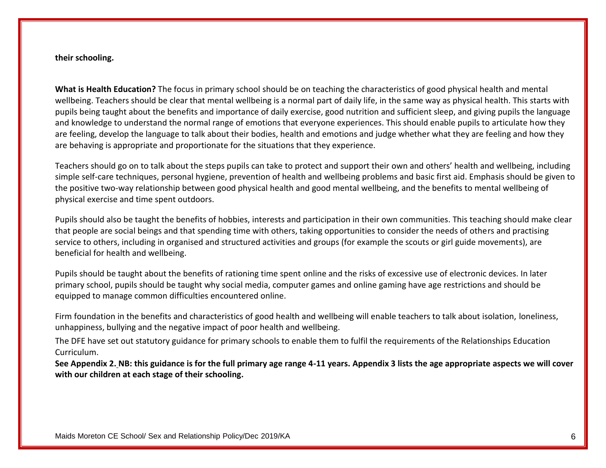#### **their schooling.**

**What is Health Education?** The focus in primary school should be on teaching the characteristics of good physical health and mental wellbeing. Teachers should be clear that mental wellbeing is a normal part of daily life, in the same way as physical health. This starts with pupils being taught about the benefits and importance of daily exercise, good nutrition and sufficient sleep, and giving pupils the language and knowledge to understand the normal range of emotions that everyone experiences. This should enable pupils to articulate how they are feeling, develop the language to talk about their bodies, health and emotions and judge whether what they are feeling and how they are behaving is appropriate and proportionate for the situations that they experience.

Teachers should go on to talk about the steps pupils can take to protect and support their own and others' health and wellbeing, including simple self-care techniques, personal hygiene, prevention of health and wellbeing problems and basic first aid. Emphasis should be given to the positive two-way relationship between good physical health and good mental wellbeing, and the benefits to mental wellbeing of physical exercise and time spent outdoors.

Pupils should also be taught the benefits of hobbies, interests and participation in their own communities. This teaching should make clear that people are social beings and that spending time with others, taking opportunities to consider the needs of others and practising service to others, including in organised and structured activities and groups (for example the scouts or girl guide movements), are beneficial for health and wellbeing.

Pupils should be taught about the benefits of rationing time spent online and the risks of excessive use of electronic devices. In later primary school, pupils should be taught why social media, computer games and online gaming have age restrictions and should be equipped to manage common difficulties encountered online.

Firm foundation in the benefits and characteristics of good health and wellbeing will enable teachers to talk about isolation, loneliness, unhappiness, bullying and the negative impact of poor health and wellbeing.

The DFE have set out statutory guidance for primary schools to enable them to fulfil the requirements of the Relationships Education Curriculum.

**See Appendix 2. NB: this guidance is for the full primary age range 4-11 years. Appendix 3 lists the age appropriate aspects we will cover with our children at each stage of their schooling.**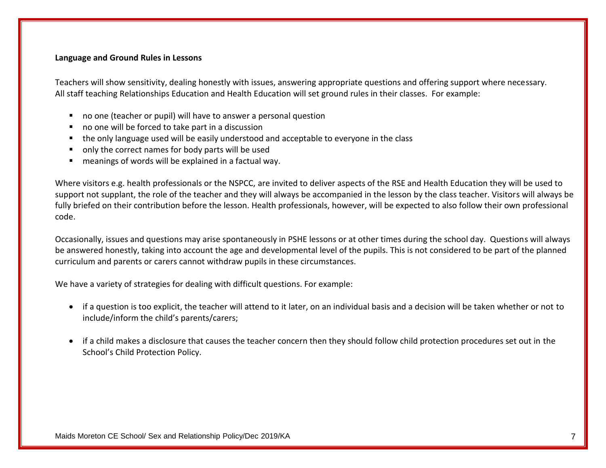#### **Language and Ground Rules in Lessons**

Teachers will show sensitivity, dealing honestly with issues, answering appropriate questions and offering support where necessary. All staff teaching Relationships Education and Health Education will set ground rules in their classes. For example:

- no one (teacher or pupil) will have to answer a personal question
- no one will be forced to take part in a discussion
- the only language used will be easily understood and acceptable to everyone in the class
- only the correct names for body parts will be used
- meanings of words will be explained in a factual way.

Where visitors e.g. health professionals or the NSPCC, are invited to deliver aspects of the RSE and Health Education they will be used to support not supplant, the role of the teacher and they will always be accompanied in the lesson by the class teacher. Visitors will always be fully briefed on their contribution before the lesson. Health professionals, however, will be expected to also follow their own professional code.

Occasionally, issues and questions may arise spontaneously in PSHE lessons or at other times during the school day. Questions will always be answered honestly, taking into account the age and developmental level of the pupils. This is not considered to be part of the planned curriculum and parents or carers cannot withdraw pupils in these circumstances.

We have a variety of strategies for dealing with difficult questions. For example:

- if a question is too explicit, the teacher will attend to it later, on an individual basis and a decision will be taken whether or not to include/inform the child's parents/carers;
- if a child makes a disclosure that causes the teacher concern then they should follow child protection procedures set out in the School's Child Protection Policy.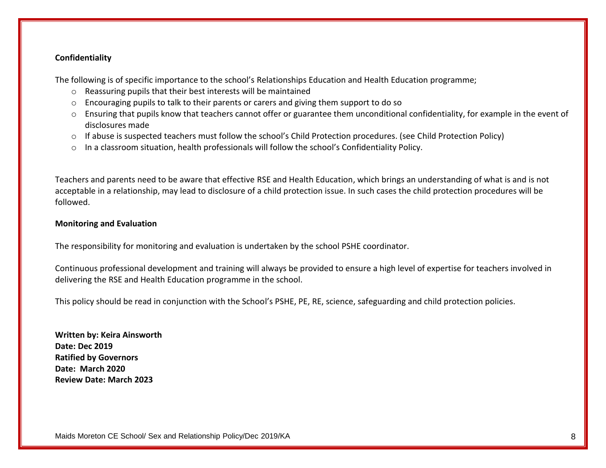### **Confidentiality**

The following is of specific importance to the school's Relationships Education and Health Education programme;

- o Reassuring pupils that their best interests will be maintained
- o Encouraging pupils to talk to their parents or carers and giving them support to do so
- o Ensuring that pupils know that teachers cannot offer or guarantee them unconditional confidentiality, for example in the event of disclosures made
- o If abuse is suspected teachers must follow the school's Child Protection procedures. (see Child Protection Policy)
- $\circ$  In a classroom situation, health professionals will follow the school's Confidentiality Policy.

Teachers and parents need to be aware that effective RSE and Health Education, which brings an understanding of what is and is not acceptable in a relationship, may lead to disclosure of a child protection issue. In such cases the child protection procedures will be followed.

#### **Monitoring and Evaluation**

The responsibility for monitoring and evaluation is undertaken by the school PSHE coordinator.

Continuous professional development and training will always be provided to ensure a high level of expertise for teachers involved in delivering the RSE and Health Education programme in the school.

This policy should be read in conjunction with the School's PSHE, PE, RE, science, safeguarding and child protection policies.

**Written by: Keira Ainsworth Date: Dec 2019 Ratified by Governors Date: March 2020 Review Date: March 2023**

Maids Moreton CE School/ Sex and Relationship Policy/Dec 2019/KA 8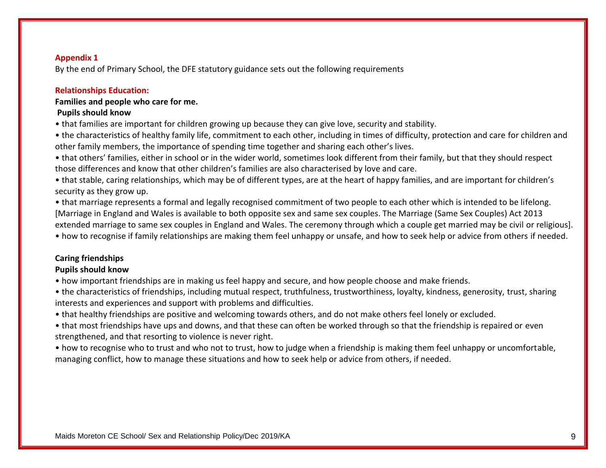### **Appendix 1**

By the end of Primary School, the DFE statutory guidance sets out the following requirements

### **Relationships Education:**

### **Families and people who care for me.**

#### **Pupils should know**

• that families are important for children growing up because they can give love, security and stability.

• the characteristics of healthy family life, commitment to each other, including in times of difficulty, protection and care for children and other family members, the importance of spending time together and sharing each other's lives.

• that others' families, either in school or in the wider world, sometimes look different from their family, but that they should respect those differences and know that other children's families are also characterised by love and care.

• that stable, caring relationships, which may be of different types, are at the heart of happy families, and are important for children's security as they grow up.

• that marriage represents a formal and legally recognised commitment of two people to each other which is intended to be lifelong. [Marriage in England and Wales is available to both opposite sex and same sex couples. The Marriage (Same Sex Couples) Act 2013 extended marriage to same sex couples in England and Wales. The ceremony through which a couple get married may be civil or religious].

• how to recognise if family relationships are making them feel unhappy or unsafe, and how to seek help or advice from others if needed.

#### **Caring friendships Pupils should know**

## • how important friendships are in making us feel happy and secure, and how people choose and make friends.

- the characteristics of friendships, including mutual respect, truthfulness, trustworthiness, loyalty, kindness, generosity, trust, sharing interests and experiences and support with problems and difficulties.
- that healthy friendships are positive and welcoming towards others, and do not make others feel lonely or excluded.

• that most friendships have ups and downs, and that these can often be worked through so that the friendship is repaired or even strengthened, and that resorting to violence is never right.

• how to recognise who to trust and who not to trust, how to judge when a friendship is making them feel unhappy or uncomfortable, managing conflict, how to manage these situations and how to seek help or advice from others, if needed.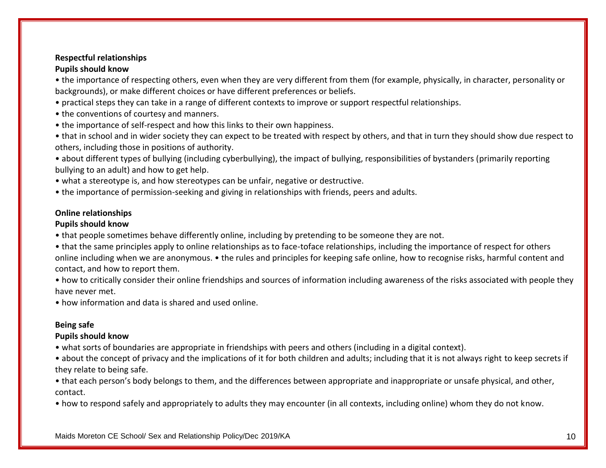### **Respectful relationships Pupils should know**

• the importance of respecting others, even when they are very different from them (for example, physically, in character, personality or backgrounds), or make different choices or have different preferences or beliefs.

• practical steps they can take in a range of different contexts to improve or support respectful relationships.

- the conventions of courtesy and manners.
- the importance of self-respect and how this links to their own happiness.

• that in school and in wider society they can expect to be treated with respect by others, and that in turn they should show due respect to others, including those in positions of authority.

• about different types of bullying (including cyberbullying), the impact of bullying, responsibilities of bystanders (primarily reporting bullying to an adult) and how to get help.

• what a stereotype is, and how stereotypes can be unfair, negative or destructive.

• the importance of permission-seeking and giving in relationships with friends, peers and adults.

## **Online relationships**

## **Pupils should know**

• that people sometimes behave differently online, including by pretending to be someone they are not.

• that the same principles apply to online relationships as to face-toface relationships, including the importance of respect for others online including when we are anonymous. • the rules and principles for keeping safe online, how to recognise risks, harmful content and contact, and how to report them.

• how to critically consider their online friendships and sources of information including awareness of the risks associated with people they have never met.

• how information and data is shared and used online.

## **Being safe**

## **Pupils should know**

• what sorts of boundaries are appropriate in friendships with peers and others (including in a digital context).

• about the concept of privacy and the implications of it for both children and adults; including that it is not always right to keep secrets if they relate to being safe.

• that each person's body belongs to them, and the differences between appropriate and inappropriate or unsafe physical, and other, contact.

• how to respond safely and appropriately to adults they may encounter (in all contexts, including online) whom they do not know.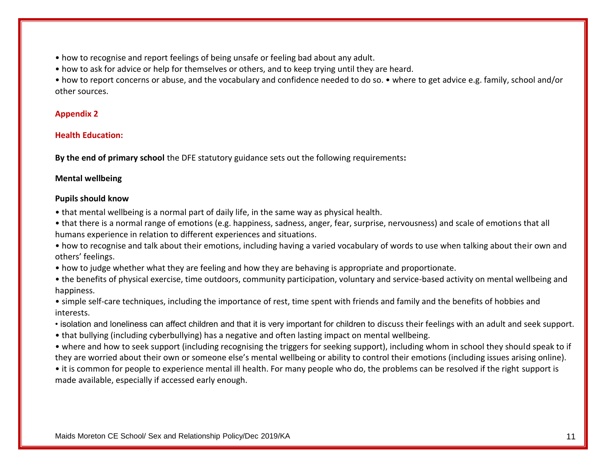• how to recognise and report feelings of being unsafe or feeling bad about any adult.

• how to ask for advice or help for themselves or others, and to keep trying until they are heard.

• how to report concerns or abuse, and the vocabulary and confidence needed to do so. • where to get advice e.g. family, school and/or other sources.

### **Appendix 2**

## **Health Education:**

**By the end of primary school** the DFE statutory guidance sets out the following requirements**:**

### **Mental wellbeing**

### **Pupils should know**

• that mental wellbeing is a normal part of daily life, in the same way as physical health.

• that there is a normal range of emotions (e.g. happiness, sadness, anger, fear, surprise, nervousness) and scale of emotions that all humans experience in relation to different experiences and situations.

• how to recognise and talk about their emotions, including having a varied vocabulary of words to use when talking about their own and others' feelings.

• how to judge whether what they are feeling and how they are behaving is appropriate and proportionate.

• the benefits of physical exercise, time outdoors, community participation, voluntary and service-based activity on mental wellbeing and happiness.

• simple self-care techniques, including the importance of rest, time spent with friends and family and the benefits of hobbies and interests.

• isolation and loneliness can affect children and that it is very important for children to discuss their feelings with an adult and seek support.

• that bullying (including cyberbullying) has a negative and often lasting impact on mental wellbeing.

• where and how to seek support (including recognising the triggers for seeking support), including whom in school they should speak to if they are worried about their own or someone else's mental wellbeing or ability to control their emotions (including issues arising online).

• it is common for people to experience mental ill health. For many people who do, the problems can be resolved if the right support is made available, especially if accessed early enough.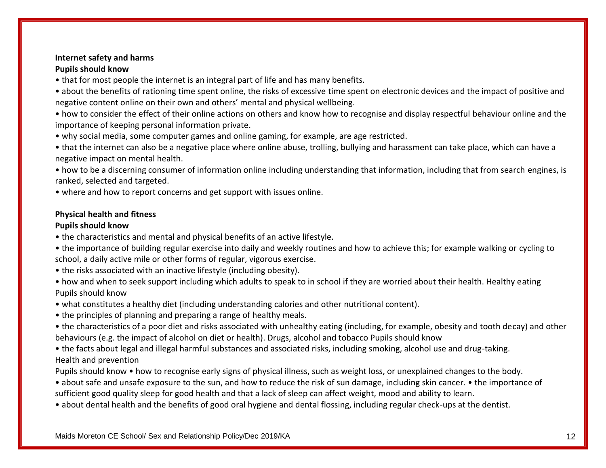### **Internet safety and harms Pupils should know**

• that for most people the internet is an integral part of life and has many benefits.

• about the benefits of rationing time spent online, the risks of excessive time spent on electronic devices and the impact of positive and negative content online on their own and others' mental and physical wellbeing.

• how to consider the effect of their online actions on others and know how to recognise and display respectful behaviour online and the importance of keeping personal information private.

• why social media, some computer games and online gaming, for example, are age restricted.

• that the internet can also be a negative place where online abuse, trolling, bullying and harassment can take place, which can have a negative impact on mental health.

• how to be a discerning consumer of information online including understanding that information, including that from search engines, is ranked, selected and targeted.

• where and how to report concerns and get support with issues online.

## **Physical health and fitness**

### **Pupils should know**

• the characteristics and mental and physical benefits of an active lifestyle.

- the importance of building regular exercise into daily and weekly routines and how to achieve this; for example walking or cycling to school, a daily active mile or other forms of regular, vigorous exercise.
- the risks associated with an inactive lifestyle (including obesity).
- how and when to seek support including which adults to speak to in school if they are worried about their health. Healthy eating Pupils should know
- what constitutes a healthy diet (including understanding calories and other nutritional content).
- the principles of planning and preparing a range of healthy meals.
- the characteristics of a poor diet and risks associated with unhealthy eating (including, for example, obesity and tooth decay) and other behaviours (e.g. the impact of alcohol on diet or health). Drugs, alcohol and tobacco Pupils should know
- the facts about legal and illegal harmful substances and associated risks, including smoking, alcohol use and drug-taking. Health and prevention

Pupils should know • how to recognise early signs of physical illness, such as weight loss, or unexplained changes to the body.

• about safe and unsafe exposure to the sun, and how to reduce the risk of sun damage, including skin cancer. • the importance of sufficient good quality sleep for good health and that a lack of sleep can affect weight, mood and ability to learn.

• about dental health and the benefits of good oral hygiene and dental flossing, including regular check-ups at the dentist.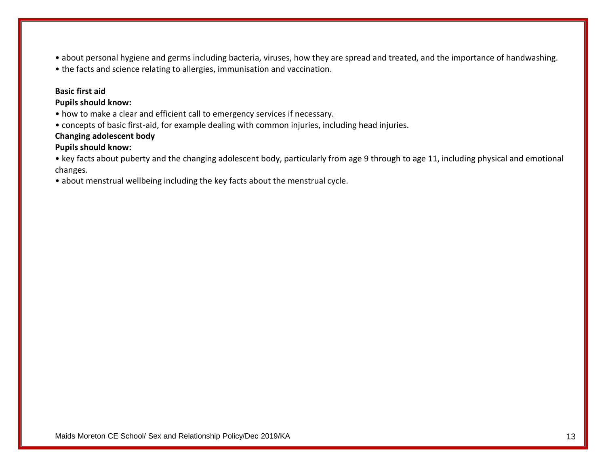- about personal hygiene and germs including bacteria, viruses, how they are spread and treated, and the importance of handwashing.
- the facts and science relating to allergies, immunisation and vaccination.

## **Basic first aid**

## **Pupils should know:**

- how to make a clear and efficient call to emergency services if necessary.
- concepts of basic first-aid, for example dealing with common injuries, including head injuries.

## **Changing adolescent body**

## **Pupils should know:**

• key facts about puberty and the changing adolescent body, particularly from age 9 through to age 11, including physical and emotional changes.

• about menstrual wellbeing including the key facts about the menstrual cycle.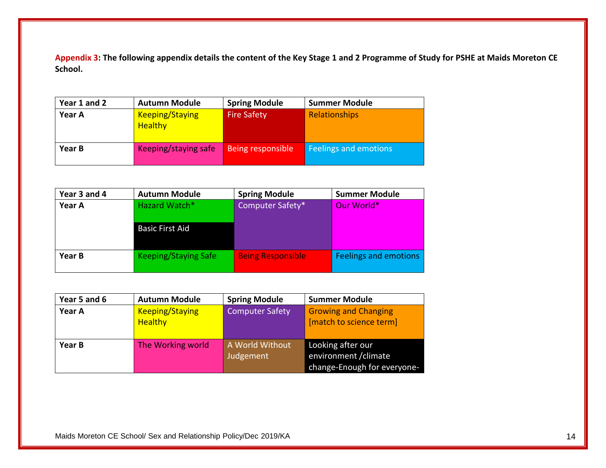**Appendix 3: The following appendix details the content of the Key Stage 1 and 2 Programme of Study for PSHE at Maids Moreton CE School.**

| Year 1 and 2 | <b>Autumn Module</b>                     | <b>Spring Module</b> | <b>Summer Module</b>  |
|--------------|------------------------------------------|----------------------|-----------------------|
| Year A       | <b>Keeping/Staying</b><br><b>Healthy</b> | <b>Fire Safety</b>   | <b>Relationships</b>  |
| Year B       | Keeping/staying safe                     | Being responsible    | Feelings and emotions |

| Year 3 and 4 | <b>Autumn Module</b>        | <b>Spring Module</b>     | <b>Summer Module</b>         |
|--------------|-----------------------------|--------------------------|------------------------------|
| Year A       | Hazard Watch*               | Computer Safety*         | Our World*                   |
|              | <b>Basic First Aid</b>      |                          |                              |
| Year B       | <b>Keeping/Staying Safe</b> | <b>Being Responsible</b> | <b>Feelings and emotions</b> |

| Year 5 and 6 | <b>Autumn Module</b>   | <b>Spring Module</b>   | <b>Summer Module</b>        |
|--------------|------------------------|------------------------|-----------------------------|
| Year A       | <b>Keeping/Staying</b> | <b>Computer Safety</b> | <b>Growing and Changing</b> |
|              | <b>Healthy</b>         |                        | [match to science term]     |
|              |                        |                        |                             |
| Year B       | The Working world      | A World Without        | Looking after our           |
|              |                        | Judgement              | environment / climate       |
|              |                        |                        | change-Enough for everyone- |

Maids Moreton CE School/ Sex and Relationship Policy/Dec 2019/KA 14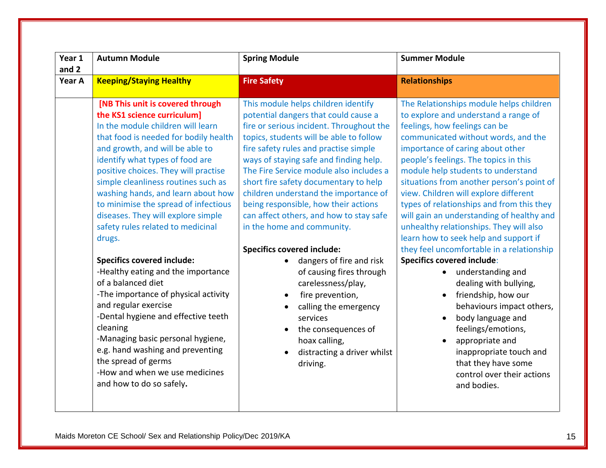| Year 1<br>and 2 | <b>Autumn Module</b>                                                                                                                                                                                                                                                                                                                                                                                                                                                                                                                                                                                                                                                                                                                                                                                                                                    | <b>Spring Module</b>                                                                                                                                                                                                                                                                                                                                                                                                                                                                                                                                                                                                                                                                                                                                                            | <b>Summer Module</b>                                                                                                                                                                                                                                                                                                                                                                                                                                                                                                                                                                                                                                                                                                                                                                                                                                                                                          |
|-----------------|---------------------------------------------------------------------------------------------------------------------------------------------------------------------------------------------------------------------------------------------------------------------------------------------------------------------------------------------------------------------------------------------------------------------------------------------------------------------------------------------------------------------------------------------------------------------------------------------------------------------------------------------------------------------------------------------------------------------------------------------------------------------------------------------------------------------------------------------------------|---------------------------------------------------------------------------------------------------------------------------------------------------------------------------------------------------------------------------------------------------------------------------------------------------------------------------------------------------------------------------------------------------------------------------------------------------------------------------------------------------------------------------------------------------------------------------------------------------------------------------------------------------------------------------------------------------------------------------------------------------------------------------------|---------------------------------------------------------------------------------------------------------------------------------------------------------------------------------------------------------------------------------------------------------------------------------------------------------------------------------------------------------------------------------------------------------------------------------------------------------------------------------------------------------------------------------------------------------------------------------------------------------------------------------------------------------------------------------------------------------------------------------------------------------------------------------------------------------------------------------------------------------------------------------------------------------------|
| Year A          | <b>Keeping/Staying Healthy</b>                                                                                                                                                                                                                                                                                                                                                                                                                                                                                                                                                                                                                                                                                                                                                                                                                          | <b>Fire Safety</b>                                                                                                                                                                                                                                                                                                                                                                                                                                                                                                                                                                                                                                                                                                                                                              | <b>Relationships</b>                                                                                                                                                                                                                                                                                                                                                                                                                                                                                                                                                                                                                                                                                                                                                                                                                                                                                          |
|                 | [NB This unit is covered through<br>the KS1 science curriculum]<br>In the module children will learn<br>that food is needed for bodily health<br>and growth, and will be able to<br>identify what types of food are<br>positive choices. They will practise<br>simple cleanliness routines such as<br>washing hands, and learn about how<br>to minimise the spread of infectious<br>diseases. They will explore simple<br>safety rules related to medicinal<br>drugs.<br><b>Specifics covered include:</b><br>-Healthy eating and the importance<br>of a balanced diet<br>-The importance of physical activity<br>and regular exercise<br>-Dental hygiene and effective teeth<br>cleaning<br>-Managing basic personal hygiene,<br>e.g. hand washing and preventing<br>the spread of germs<br>-How and when we use medicines<br>and how to do so safely. | This module helps children identify<br>potential dangers that could cause a<br>fire or serious incident. Throughout the<br>topics, students will be able to follow<br>fire safety rules and practise simple<br>ways of staying safe and finding help.<br>The Fire Service module also includes a<br>short fire safety documentary to help<br>children understand the importance of<br>being responsible, how their actions<br>can affect others, and how to stay safe<br>in the home and community.<br><b>Specifics covered include:</b><br>dangers of fire and risk<br>$\bullet$<br>of causing fires through<br>carelessness/play,<br>fire prevention,<br>calling the emergency<br>services<br>the consequences of<br>hoax calling,<br>distracting a driver whilst<br>driving. | The Relationships module helps children<br>to explore and understand a range of<br>feelings, how feelings can be<br>communicated without words, and the<br>importance of caring about other<br>people's feelings. The topics in this<br>module help students to understand<br>situations from another person's point of<br>view. Children will explore different<br>types of relationships and from this they<br>will gain an understanding of healthy and<br>unhealthy relationships. They will also<br>learn how to seek help and support if<br>they feel uncomfortable in a relationship<br><b>Specifics covered include:</b><br>understanding and<br>dealing with bullying,<br>friendship, how our<br>behaviours impact others,<br>body language and<br>$\bullet$<br>feelings/emotions,<br>appropriate and<br>inappropriate touch and<br>that they have some<br>control over their actions<br>and bodies. |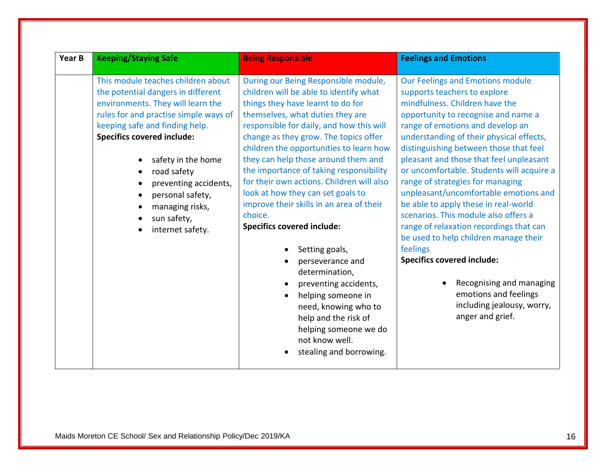| Year B | <b>Keeping/Staying Safe</b>                                                                                                                                                                                                                                                                                                                                           | <b>Being Responsible</b>                                                                                                                                                                                                                                                                                                                                                                                                                                                                                                                                                                                                                                                                                                                                                                          | <b>Feelings and Emotions</b>                                                                                                                                                                                                                                                                                                                                                                                                                                                                                                                                                                                                                                                                                                                                         |
|--------|-----------------------------------------------------------------------------------------------------------------------------------------------------------------------------------------------------------------------------------------------------------------------------------------------------------------------------------------------------------------------|---------------------------------------------------------------------------------------------------------------------------------------------------------------------------------------------------------------------------------------------------------------------------------------------------------------------------------------------------------------------------------------------------------------------------------------------------------------------------------------------------------------------------------------------------------------------------------------------------------------------------------------------------------------------------------------------------------------------------------------------------------------------------------------------------|----------------------------------------------------------------------------------------------------------------------------------------------------------------------------------------------------------------------------------------------------------------------------------------------------------------------------------------------------------------------------------------------------------------------------------------------------------------------------------------------------------------------------------------------------------------------------------------------------------------------------------------------------------------------------------------------------------------------------------------------------------------------|
|        | This module teaches children about<br>the potential dangers in different<br>environments. They will learn the<br>rules for and practise simple ways of<br>keeping safe and finding help.<br><b>Specifics covered include:</b><br>safety in the home<br>road safety<br>preventing accidents,<br>personal safety,<br>managing risks,<br>sun safety,<br>internet safety. | During our Being Responsible module,<br>children will be able to identify what<br>things they have learnt to do for<br>themselves, what duties they are<br>responsible for daily, and how this will<br>change as they grow. The topics offer<br>children the opportunities to learn how<br>they can help those around them and<br>the importance of taking responsibility<br>for their own actions. Children will also<br>look at how they can set goals to<br>improve their skills in an area of their<br>choice.<br><b>Specifics covered include:</b><br>Setting goals,<br>perseverance and<br>determination,<br>preventing accidents,<br>helping someone in<br>$\bullet$<br>need, knowing who to<br>help and the risk of<br>helping someone we do<br>not know well.<br>stealing and borrowing. | Our Feelings and Emotions module<br>supports teachers to explore<br>mindfulness. Children have the<br>opportunity to recognise and name a<br>range of emotions and develop an<br>understanding of their physical effects,<br>distinguishing between those that feel<br>pleasant and those that feel unpleasant<br>or uncomfortable. Students will acquire a<br>range of strategies for managing<br>unpleasant/uncomfortable emotions and<br>be able to apply these in real-world<br>scenarios. This module also offers a<br>range of relaxation recordings that can<br>be used to help children manage their<br>feelings<br><b>Specifics covered include:</b><br>Recognising and managing<br>emotions and feelings<br>including jealousy, worry,<br>anger and grief. |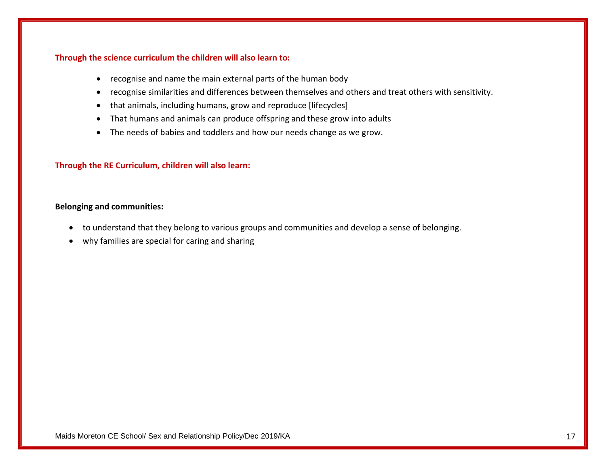### **Through the science curriculum the children will also learn to:**

- recognise and name the main external parts of the human body
- recognise similarities and differences between themselves and others and treat others with sensitivity.
- that animals, including humans, grow and reproduce [lifecycles]
- That humans and animals can produce offspring and these grow into adults
- The needs of babies and toddlers and how our needs change as we grow.

### **Through the RE Curriculum, children will also learn:**

#### **Belonging and communities:**

- to understand that they belong to various groups and communities and develop a sense of belonging.
- why families are special for caring and sharing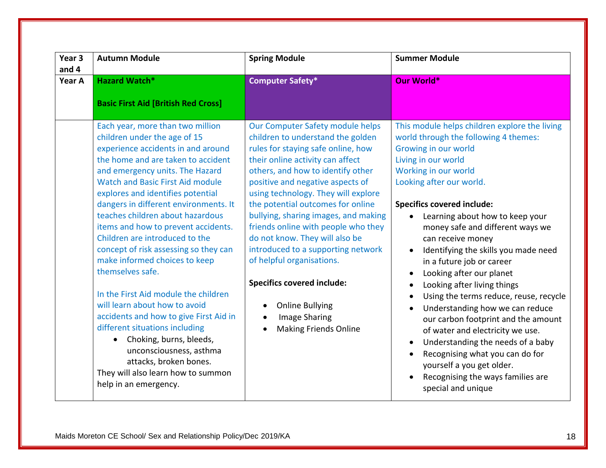| Year <sub>3</sub><br>and 4 | <b>Autumn Module</b>                                                                                                                                                                                                                                                                                                                                                                                                                                                                                                                                                                                                                                                                                                                                                                                                      | <b>Spring Module</b>                                                                                                                                                                                                                                                                                                                                                                                                                                                                                                                                                                                            | <b>Summer Module</b>                                                                                                                                                                                                                                                                                                                                                                                                                                                                                                                                                                                                                                                                                                                                                                                         |
|----------------------------|---------------------------------------------------------------------------------------------------------------------------------------------------------------------------------------------------------------------------------------------------------------------------------------------------------------------------------------------------------------------------------------------------------------------------------------------------------------------------------------------------------------------------------------------------------------------------------------------------------------------------------------------------------------------------------------------------------------------------------------------------------------------------------------------------------------------------|-----------------------------------------------------------------------------------------------------------------------------------------------------------------------------------------------------------------------------------------------------------------------------------------------------------------------------------------------------------------------------------------------------------------------------------------------------------------------------------------------------------------------------------------------------------------------------------------------------------------|--------------------------------------------------------------------------------------------------------------------------------------------------------------------------------------------------------------------------------------------------------------------------------------------------------------------------------------------------------------------------------------------------------------------------------------------------------------------------------------------------------------------------------------------------------------------------------------------------------------------------------------------------------------------------------------------------------------------------------------------------------------------------------------------------------------|
| Year A                     | <b>Hazard Watch*</b>                                                                                                                                                                                                                                                                                                                                                                                                                                                                                                                                                                                                                                                                                                                                                                                                      | <b>Computer Safety*</b>                                                                                                                                                                                                                                                                                                                                                                                                                                                                                                                                                                                         | Our World*                                                                                                                                                                                                                                                                                                                                                                                                                                                                                                                                                                                                                                                                                                                                                                                                   |
|                            | <b>Basic First Aid [British Red Cross]</b>                                                                                                                                                                                                                                                                                                                                                                                                                                                                                                                                                                                                                                                                                                                                                                                |                                                                                                                                                                                                                                                                                                                                                                                                                                                                                                                                                                                                                 |                                                                                                                                                                                                                                                                                                                                                                                                                                                                                                                                                                                                                                                                                                                                                                                                              |
|                            | Each year, more than two million<br>children under the age of 15<br>experience accidents in and around<br>the home and are taken to accident<br>and emergency units. The Hazard<br><b>Watch and Basic First Aid module</b><br>explores and identifies potential<br>dangers in different environments. It<br>teaches children about hazardous<br>items and how to prevent accidents.<br>Children are introduced to the<br>concept of risk assessing so they can<br>make informed choices to keep<br>themselves safe.<br>In the First Aid module the children<br>will learn about how to avoid<br>accidents and how to give First Aid in<br>different situations including<br>• Choking, burns, bleeds,<br>unconsciousness, asthma<br>attacks, broken bones.<br>They will also learn how to summon<br>help in an emergency. | Our Computer Safety module helps<br>children to understand the golden<br>rules for staying safe online, how<br>their online activity can affect<br>others, and how to identify other<br>positive and negative aspects of<br>using technology. They will explore<br>the potential outcomes for online<br>bullying, sharing images, and making<br>friends online with people who they<br>do not know. They will also be<br>introduced to a supporting network<br>of helpful organisations.<br><b>Specifics covered include:</b><br><b>Online Bullying</b><br><b>Image Sharing</b><br><b>Making Friends Online</b> | This module helps children explore the living<br>world through the following 4 themes:<br>Growing in our world<br>Living in our world<br>Working in our world<br>Looking after our world.<br><b>Specifics covered include:</b><br>Learning about how to keep your<br>money safe and different ways we<br>can receive money<br>Identifying the skills you made need<br>in a future job or career<br>Looking after our planet<br>Looking after living things<br>$\bullet$<br>Using the terms reduce, reuse, recycle<br>$\bullet$<br>Understanding how we can reduce<br>our carbon footprint and the amount<br>of water and electricity we use.<br>Understanding the needs of a baby<br>Recognising what you can do for<br>yourself a you get older.<br>Recognising the ways families are<br>special and unique |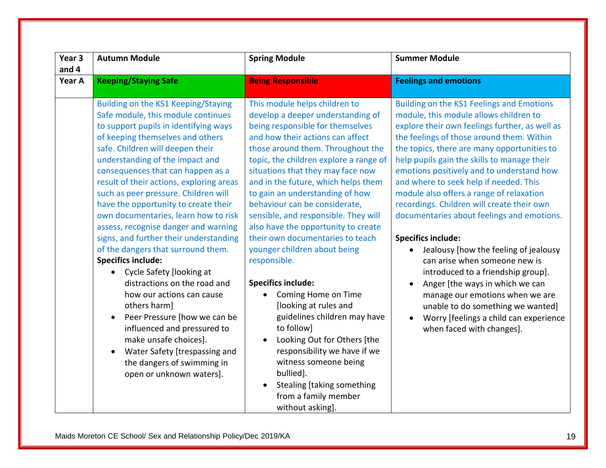| Year <sub>3</sub><br>and 4 | <b>Autumn Module</b>                                                                                                                                                                                                                                                                                                                                                                                                                                                                                                                                                                                                                                                                                                                                                                                                                                                                                              | <b>Spring Module</b>                                                                                                                                                                                                                                                                                                                                                                                                                                                                                                                                                                                                                                                                                                                                                                                                                                                | <b>Summer Module</b>                                                                                                                                                                                                                                                                                                                                                                                                                                                                                                                                                                                                                                                                                                                                                                                                                           |
|----------------------------|-------------------------------------------------------------------------------------------------------------------------------------------------------------------------------------------------------------------------------------------------------------------------------------------------------------------------------------------------------------------------------------------------------------------------------------------------------------------------------------------------------------------------------------------------------------------------------------------------------------------------------------------------------------------------------------------------------------------------------------------------------------------------------------------------------------------------------------------------------------------------------------------------------------------|---------------------------------------------------------------------------------------------------------------------------------------------------------------------------------------------------------------------------------------------------------------------------------------------------------------------------------------------------------------------------------------------------------------------------------------------------------------------------------------------------------------------------------------------------------------------------------------------------------------------------------------------------------------------------------------------------------------------------------------------------------------------------------------------------------------------------------------------------------------------|------------------------------------------------------------------------------------------------------------------------------------------------------------------------------------------------------------------------------------------------------------------------------------------------------------------------------------------------------------------------------------------------------------------------------------------------------------------------------------------------------------------------------------------------------------------------------------------------------------------------------------------------------------------------------------------------------------------------------------------------------------------------------------------------------------------------------------------------|
| Year A                     | <b>Keeping/Staying Safe</b>                                                                                                                                                                                                                                                                                                                                                                                                                                                                                                                                                                                                                                                                                                                                                                                                                                                                                       | <b>Being Responsible</b>                                                                                                                                                                                                                                                                                                                                                                                                                                                                                                                                                                                                                                                                                                                                                                                                                                            | <b>Feelings and emotions</b>                                                                                                                                                                                                                                                                                                                                                                                                                                                                                                                                                                                                                                                                                                                                                                                                                   |
|                            | Building on the KS1 Keeping/Staying<br>Safe module, this module continues<br>to support pupils in identifying ways<br>of keeping themselves and others<br>safe. Children will deepen their<br>understanding of the impact and<br>consequences that can happen as a<br>result of their actions, exploring areas<br>such as peer pressure. Children will<br>have the opportunity to create their<br>own documentaries, learn how to risk<br>assess, recognise danger and warning<br>signs, and further their understanding<br>of the dangers that surround them.<br><b>Specifics include:</b><br>Cycle Safety [looking at<br>$\bullet$<br>distractions on the road and<br>how our actions can cause<br>others harm]<br>Peer Pressure [how we can be<br>influenced and pressured to<br>make unsafe choices].<br>Water Safety [trespassing and<br>$\bullet$<br>the dangers of swimming in<br>open or unknown waters]. | This module helps children to<br>develop a deeper understanding of<br>being responsible for themselves<br>and how their actions can affect<br>those around them. Throughout the<br>topic, the children explore a range of<br>situations that they may face now<br>and in the future, which helps them<br>to gain an understanding of how<br>behaviour can be considerate,<br>sensible, and responsible. They will<br>also have the opportunity to create<br>their own documentaries to teach<br>younger children about being<br>responsible.<br><b>Specifics include:</b><br>Coming Home on Time<br>[looking at rules and<br>guidelines children may have<br>to follow]<br>Looking Out for Others [the<br>$\bullet$<br>responsibility we have if we<br>witness someone being<br>bullied].<br>Stealing [taking something<br>from a family member<br>without asking]. | Building on the KS1 Feelings and Emotions<br>module, this module allows children to<br>explore their own feelings further, as well as<br>the feelings of those around them. Within<br>the topics, there are many opportunities to<br>help pupils gain the skills to manage their<br>emotions positively and to understand how<br>and where to seek help if needed. This<br>module also offers a range of relaxation<br>recordings. Children will create their own<br>documentaries about feelings and emotions.<br><b>Specifics include:</b><br>Jealousy [how the feeling of jealousy<br>can arise when someone new is<br>introduced to a friendship group].<br>Anger [the ways in which we can<br>manage our emotions when we are<br>unable to do something we wanted]<br>Worry [feelings a child can experience<br>when faced with changes]. |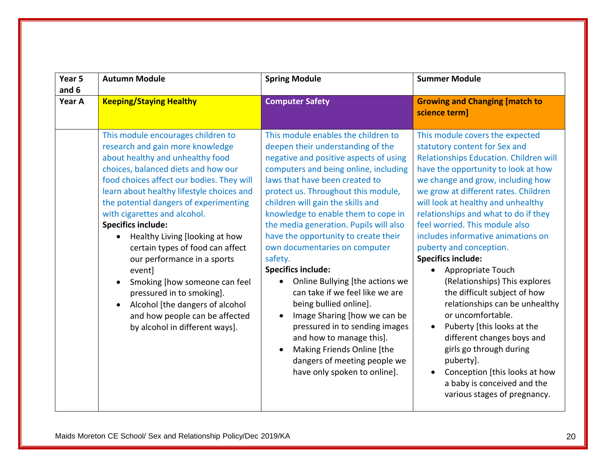| Year 5<br>and $6$ | <b>Autumn Module</b>                                                                                                                                                                                                                                                                                                                                                                                                                                                                                                                                                                                                                   | <b>Spring Module</b>                                                                                                                                                                                                                                                                                                                                                                                                                                                                                                                                                                                                                                                                                                                                                                 | <b>Summer Module</b>                                                                                                                                                                                                                                                                                                                                                                                                                                                                                                                                                                                                                                                                                                                                                                          |
|-------------------|----------------------------------------------------------------------------------------------------------------------------------------------------------------------------------------------------------------------------------------------------------------------------------------------------------------------------------------------------------------------------------------------------------------------------------------------------------------------------------------------------------------------------------------------------------------------------------------------------------------------------------------|--------------------------------------------------------------------------------------------------------------------------------------------------------------------------------------------------------------------------------------------------------------------------------------------------------------------------------------------------------------------------------------------------------------------------------------------------------------------------------------------------------------------------------------------------------------------------------------------------------------------------------------------------------------------------------------------------------------------------------------------------------------------------------------|-----------------------------------------------------------------------------------------------------------------------------------------------------------------------------------------------------------------------------------------------------------------------------------------------------------------------------------------------------------------------------------------------------------------------------------------------------------------------------------------------------------------------------------------------------------------------------------------------------------------------------------------------------------------------------------------------------------------------------------------------------------------------------------------------|
| Year A            | <b>Keeping/Staying Healthy</b>                                                                                                                                                                                                                                                                                                                                                                                                                                                                                                                                                                                                         | <b>Computer Safety</b>                                                                                                                                                                                                                                                                                                                                                                                                                                                                                                                                                                                                                                                                                                                                                               | <b>Growing and Changing [match to</b><br>science term]                                                                                                                                                                                                                                                                                                                                                                                                                                                                                                                                                                                                                                                                                                                                        |
|                   | This module encourages children to<br>research and gain more knowledge<br>about healthy and unhealthy food<br>choices, balanced diets and how our<br>food choices affect our bodies. They will<br>learn about healthy lifestyle choices and<br>the potential dangers of experimenting<br>with cigarettes and alcohol.<br><b>Specifics include:</b><br>Healthy Living [looking at how<br>certain types of food can affect<br>our performance in a sports<br>event]<br>Smoking [how someone can feel<br>pressured in to smoking].<br>Alcohol [the dangers of alcohol<br>and how people can be affected<br>by alcohol in different ways]. | This module enables the children to<br>deepen their understanding of the<br>negative and positive aspects of using<br>computers and being online, including<br>laws that have been created to<br>protect us. Throughout this module,<br>children will gain the skills and<br>knowledge to enable them to cope in<br>the media generation. Pupils will also<br>have the opportunity to create their<br>own documentaries on computer<br>safety.<br><b>Specifics include:</b><br>Online Bullying [the actions we<br>can take if we feel like we are<br>being bullied online].<br>Image Sharing [how we can be<br>$\bullet$<br>pressured in to sending images<br>and how to manage this].<br>Making Friends Online [the<br>dangers of meeting people we<br>have only spoken to online]. | This module covers the expected<br>statutory content for Sex and<br>Relationships Education. Children will<br>have the opportunity to look at how<br>we change and grow, including how<br>we grow at different rates. Children<br>will look at healthy and unhealthy<br>relationships and what to do if they<br>feel worried. This module also<br>includes informative animations on<br>puberty and conception.<br><b>Specifics include:</b><br>Appropriate Touch<br>(Relationships) This explores<br>the difficult subject of how<br>relationships can be unhealthy<br>or uncomfortable.<br>Puberty [this looks at the<br>different changes boys and<br>girls go through during<br>puberty].<br>Conception [this looks at how<br>a baby is conceived and the<br>various stages of pregnancy. |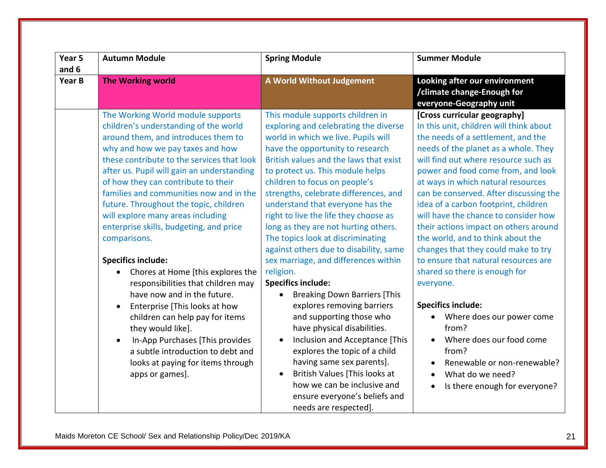| Year 5<br>and 6 | <b>Autumn Module</b>                                                                                                                                                                                                                                                                                                                                                                                                                                                                                                                                                                                                                                                                                               | <b>Spring Module</b>                                                                                                                                                                                                                                                                                                                                                                                                                                                                                                                                                                                                                                                                                | <b>Summer Module</b>                                                                                                                                                                                                                                                                                                                                                                                                                                                                                                                                                                                                                                                     |
|-----------------|--------------------------------------------------------------------------------------------------------------------------------------------------------------------------------------------------------------------------------------------------------------------------------------------------------------------------------------------------------------------------------------------------------------------------------------------------------------------------------------------------------------------------------------------------------------------------------------------------------------------------------------------------------------------------------------------------------------------|-----------------------------------------------------------------------------------------------------------------------------------------------------------------------------------------------------------------------------------------------------------------------------------------------------------------------------------------------------------------------------------------------------------------------------------------------------------------------------------------------------------------------------------------------------------------------------------------------------------------------------------------------------------------------------------------------------|--------------------------------------------------------------------------------------------------------------------------------------------------------------------------------------------------------------------------------------------------------------------------------------------------------------------------------------------------------------------------------------------------------------------------------------------------------------------------------------------------------------------------------------------------------------------------------------------------------------------------------------------------------------------------|
| Year B          | <b>The Working world</b>                                                                                                                                                                                                                                                                                                                                                                                                                                                                                                                                                                                                                                                                                           | A World Without Judgement                                                                                                                                                                                                                                                                                                                                                                                                                                                                                                                                                                                                                                                                           | Looking after our environment<br>/climate change-Enough for<br>everyone-Geography unit                                                                                                                                                                                                                                                                                                                                                                                                                                                                                                                                                                                   |
|                 | The Working World module supports<br>children's understanding of the world<br>around them, and introduces them to<br>why and how we pay taxes and how<br>these contribute to the services that look<br>after us. Pupil will gain an understanding<br>of how they can contribute to their<br>families and communities now and in the<br>future. Throughout the topic, children<br>will explore many areas including<br>enterprise skills, budgeting, and price<br>comparisons.<br><b>Specifics include:</b><br>Chores at Home [this explores the<br>$\bullet$<br>responsibilities that children may<br>have now and in the future.<br>Enterprise [This looks at how<br>$\bullet$<br>children can help pay for items | This module supports children in<br>exploring and celebrating the diverse<br>world in which we live. Pupils will<br>have the opportunity to research<br>British values and the laws that exist<br>to protect us. This module helps<br>children to focus on people's<br>strengths, celebrate differences, and<br>understand that everyone has the<br>right to live the life they choose as<br>long as they are not hurting others.<br>The topics look at discriminating<br>against others due to disability, same<br>sex marriage, and differences within<br>religion.<br><b>Specifics include:</b><br><b>Breaking Down Barriers [This</b><br>explores removing barriers<br>and supporting those who | [Cross curricular geography]<br>In this unit, children will think about<br>the needs of a settlement, and the<br>needs of the planet as a whole. They<br>will find out where resource such as<br>power and food come from, and look<br>at ways in which natural resources<br>can be conserved. After discussing the<br>idea of a carbon footprint, children<br>will have the chance to consider how<br>their actions impact on others around<br>the world, and to think about the<br>changes that they could make to try<br>to ensure that natural resources are<br>shared so there is enough for<br>everyone.<br><b>Specifics include:</b><br>Where does our power come |
|                 | they would like].<br>In-App Purchases [This provides<br>$\bullet$<br>a subtle introduction to debt and<br>looks at paying for items through<br>apps or games].                                                                                                                                                                                                                                                                                                                                                                                                                                                                                                                                                     | have physical disabilities.<br>Inclusion and Acceptance [This<br>$\bullet$<br>explores the topic of a child<br>having same sex parents].<br>British Values [This looks at<br>$\bullet$<br>how we can be inclusive and<br>ensure everyone's beliefs and<br>needs are respected].                                                                                                                                                                                                                                                                                                                                                                                                                     | from?<br>Where does our food come<br>$\bullet$<br>from?<br>Renewable or non-renewable?<br>What do we need?<br>$\bullet$<br>Is there enough for everyone?                                                                                                                                                                                                                                                                                                                                                                                                                                                                                                                 |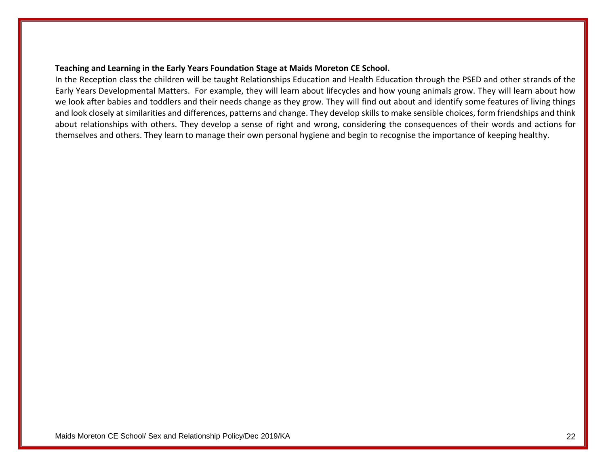#### **Teaching and Learning in the Early Years Foundation Stage at Maids Moreton CE School.**

In the Reception class the children will be taught Relationships Education and Health Education through the PSED and other strands of the Early Years Developmental Matters. For example, they will learn about lifecycles and how young animals grow. They will learn about how we look after babies and toddlers and their needs change as they grow. They will find out about and identify some features of living things and look closely at similarities and differences, patterns and change. They develop skills to make sensible choices, form friendships and think about relationships with others. They develop a sense of right and wrong, considering the consequences of their words and actions for themselves and others. They learn to manage their own personal hygiene and begin to recognise the importance of keeping healthy.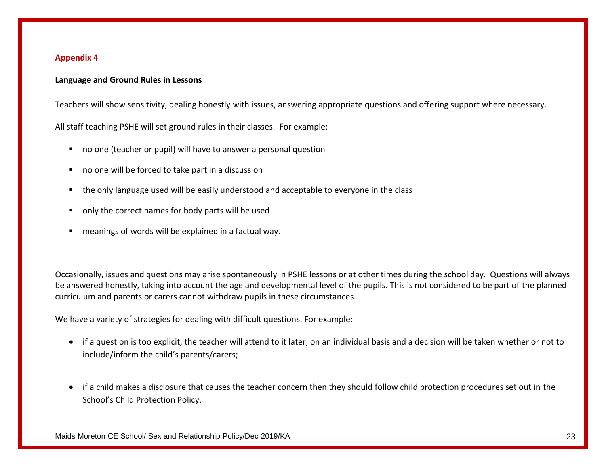#### **Appendix 4**

#### **Language and Ground Rules in Lessons**

Teachers will show sensitivity, dealing honestly with issues, answering appropriate questions and offering support where necessary.

All staff teaching PSHE will set ground rules in their classes. For example:

- no one (teacher or pupil) will have to answer a personal question
- no one will be forced to take part in a discussion
- the only language used will be easily understood and acceptable to everyone in the class
- only the correct names for body parts will be used
- meanings of words will be explained in a factual way.

Occasionally, issues and questions may arise spontaneously in PSHE lessons or at other times during the school day. Questions will always be answered honestly, taking into account the age and developmental level of the pupils. This is not considered to be part of the planned curriculum and parents or carers cannot withdraw pupils in these circumstances.

We have a variety of strategies for dealing with difficult questions. For example:

- if a question is too explicit, the teacher will attend to it later, on an individual basis and a decision will be taken whether or not to include/inform the child's parents/carers;
- if a child makes a disclosure that causes the teacher concern then they should follow child protection procedures set out in the School's Child Protection Policy.